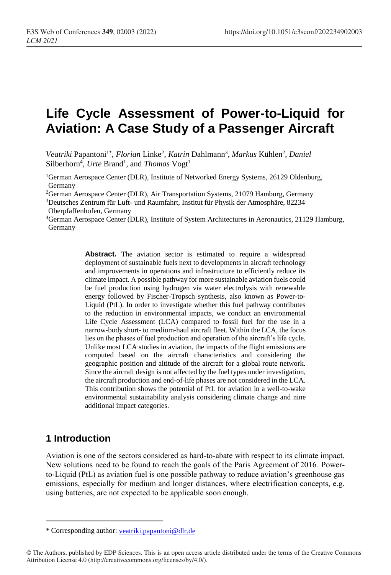# **Life Cycle Assessment of Power-to-Liquid for Aviation: A Case Study of a Passenger Aircraft**

Veatriki Papantoni<sup>1\*</sup>, *Florian* Linke<sup>2</sup>, *Katrin* Dahlmann<sup>3</sup>, *Markus* Kühlen<sup>2</sup>, Daniel Silberhorn<sup>4</sup>, Urte Brand<sup>1</sup>, and *Thomas* Vogt<sup>1</sup>

<sup>1</sup>German Aerospace Center (DLR), Institute of Networked Energy Systems, 26129 Oldenburg, Germany

<sup>2</sup>German Aerospace Center (DLR), Air Transportation Systems, 21079 Hamburg, Germany

<sup>3</sup>Deutsches Zentrum für Luft- und Raumfahrt, Institut für Physik der Atmosphäre, 82234 Oberpfaffenhofen, Germany

<sup>4</sup>German Aerospace Center (DLR), Institute of System Architectures in Aeronautics, 21129 Hamburg, Germany

> Abstract. The aviation sector is estimated to require a widespread deployment of sustainable fuels next to developments in aircraft technology and improvements in operations and infrastructure to efficiently reduce its climate impact. A possible pathway for more sustainable aviation fuels could be fuel production using hydrogen via water electrolysis with renewable energy followed by Fischer-Tropsch synthesis, also known as Power-to-Liquid (PtL). In order to investigate whether this fuel pathway contributes to the reduction in environmental impacts, we conduct an environmental Life Cycle Assessment (LCA) compared to fossil fuel for the use in a narrow-body short- to medium-haul aircraft fleet. Within the LCA, the focus lies on the phases of fuel production and operation of the aircraft's life cycle. Unlike most LCA studies in aviation, the impacts of the flight emissions are computed based on the aircraft characteristics and considering the geographic position and altitude of the aircraft for a global route network. Since the aircraft design is not affected by the fuel types under investigation, the aircraft production and end-of-life phases are not considered in the LCA. This contribution shows the potential of PtL for aviation in a well-to-wake environmental sustainability analysis considering climate change and nine additional impact categories.

### **1 Introduction**

 $\overline{a}$ 

Aviation is one of the sectors considered as hard-to-abate with respect to its climate impact. New solutions need to be found to reach the goals of the Paris Agreement of 2016. Powerto-Liquid (PtL) as aviation fuel is one possible pathway to reduce aviation's greenhouse gas emissions, especially for medium and longer distances, where electrification concepts, e.g. using batteries, are not expected to be applicable soon enough.

<sup>\*</sup> Corresponding author: [veatriki.papantoni@dlr.d](mailto:veatriki.papantoni@dlr.)e

<sup>©</sup> The Authors, published by EDP Sciences. This is an open access article distributed under the terms of the Creative Commons Attribution License 4.0 (http://creativecommons.org/licenses/by/4.0/).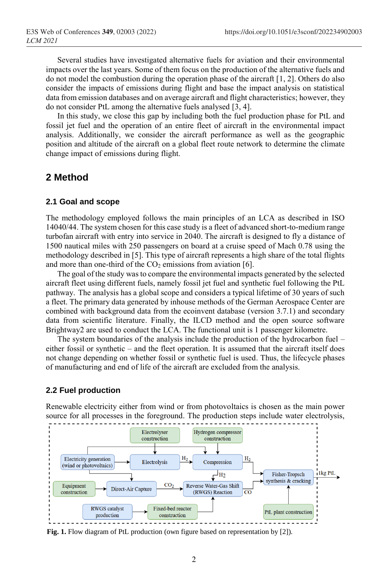Several studies have investigated alternative fuels for aviation and their environmental impacts over the last years. Some of them focus on the production of the alternative fuels and do not model the combustion during the operation phase of the aircraft [\[1,](#page-5-0) [2\]](#page-5-1). Others do also consider the impacts of emissions during flight and base the impact analysis on statistical data from emission databases and on average aircraft and flight characteristics; however, they do not consider PtL among the alternative fuels analysed [\[3,](#page-5-2) [4\]](#page-5-3).

In this study, we close this gap by including both the fuel production phase for PtL and fossil jet fuel and the operation of an entire fleet of aircraft in the environmental impact analysis. Additionally, we consider the aircraft performance as well as the geographic position and altitude of the aircraft on a global fleet route network to determine the climate change impact of emissions during flight.

### **2 Method**

#### **2.1 Goal and scope**

The methodology employed follows the main principles of an LCA as described in ISO 14040/44. The system chosen for this case study is a fleet of advanced short-to-medium range turbofan aircraft with entry into service in 2040. The aircraft is designed to fly a distance of 1500 nautical miles with 250 passengers on board at a cruise speed of Mach 0.78 using the methodology described in [\[5\]](#page-5-4). This type of aircraft represents a high share of the total flights and more than one-third of the  $CO<sub>2</sub>$  emissions from aviation [\[6\]](#page-5-5).

The goal of the study wasto compare the environmental impacts generated by the selected aircraft fleet using different fuels, namely fossil jet fuel and synthetic fuel following the PtL pathway. The analysis has a global scope and considers a typical lifetime of 30 years of such a fleet. The primary data generated by inhouse methods of the German Aerospace Center are combined with background data from the ecoinvent database (version 3.7.1) and secondary data from scientific literature. Finally, the ILCD method and the open source software Brightway2 are used to conduct the LCA. The functional unit is 1 passenger kilometre.

The system boundaries of the analysis include the production of the hydrocarbon fuel – either fossil or synthetic – and the fleet operation. It is assumed that the aircraft itself does not change depending on whether fossil or synthetic fuel is used. Thus, the lifecycle phases of manufacturing and end of life of the aircraft are excluded from the analysis.

#### **2.2 Fuel production**

Renewable electricity either from wind or from photovoltaics is chosen as the main power source for all processes in the foreground. The production steps include water electrolysis,



<span id="page-1-0"></span>**Fig. 1.** Flow diagram of PtL production (own figure based on representation by [2]).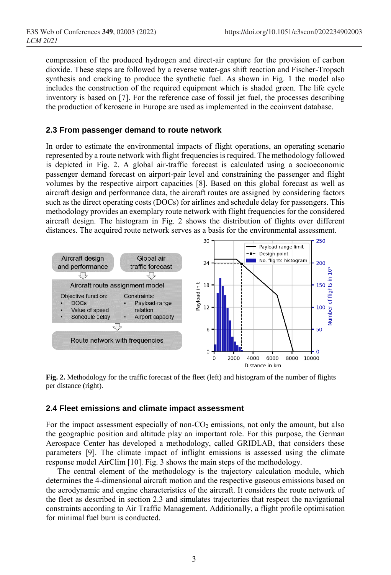compression of the produced hydrogen and direct-air capture for the provision of carbon dioxide. These steps are followed by a reverse water-gas shift reaction and Fischer-Tropsch synthesis and cracking to produce the synthetic fuel. As shown in [Fig. 1](#page-1-0) the model also includes the construction of the required equipment which is shaded green. The life cycle inventory is based on [\[7\]](#page-5-6). For the reference case of fossil jet fuel, the processes describing the production of kerosene in Europe are used as implemented in the ecoinvent database.

#### **2.3 From passenger demand to route network**

In order to estimate the environmental impacts of flight operations, an operating scenario represented by a route network with flight frequencies is required. The methodology followed is depicted in [Fig. 2.](#page-2-0) A global air-traffic forecast is calculated using a socioeconomic passenger demand forecast on airport-pair level and constraining the passenger and flight volumes by the respective airport capacities [\[8\]](#page-5-7). Based on this global forecast as well as aircraft design and performance data, the aircraft routes are assigned by considering factors such as the direct operating costs (DOCs) for airlines and schedule delay for passengers. This methodology provides an exemplary route network with flight frequencies for the considered aircraft design. The histogram in [Fig. 2](#page-2-0) shows the distribution of flights over different distances. The acquired route network serves as a basis for the environmental assessment.



<span id="page-2-0"></span>**Fig. 2.** Methodology for the traffic forecast of the fleet (left) and histogram of the number of flights per distance (right).

#### **2.4 Fleet emissions and climate impact assessment**

For the impact assessment especially of non- $CO<sub>2</sub>$  emissions, not only the amount, but also the geographic position and altitude play an important role. For this purpose, the German Aerospace Center has developed a methodology, called GRIDLAB, that considers these parameters [\[9\]](#page-5-8). The climate impact of inflight emissions is assessed using the climate response model AirClim [\[10\]](#page-5-9). [Fig. 3](#page-3-0) shows the main steps of the methodology.

The central element of the methodology is the trajectory calculation module, which determines the 4-dimensional aircraft motion and the respective gaseous emissions based on the aerodynamic and engine characteristics of the aircraft. It considers the route network of the fleet as described in section 2.3 and simulates trajectories that respect the navigational constraints according to Air Traffic Management. Additionally, a flight profile optimisation for minimal fuel burn is conducted.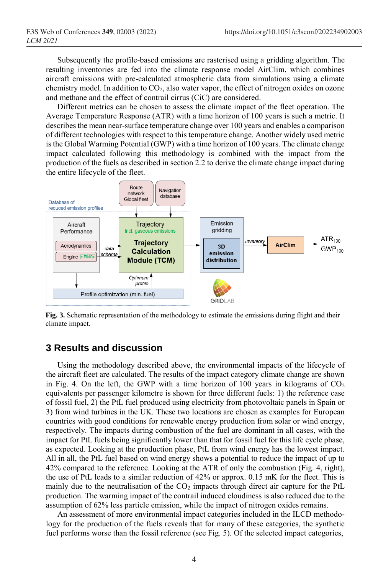Subsequently the profile-based emissions are rasterised using a gridding algorithm. The resulting inventories are fed into the climate response model AirClim, which combines aircraft emissions with pre-calculated atmospheric data from simulations using a climate chemistry model. In addition to  $CO<sub>2</sub>$ , also water vapor, the effect of nitrogen oxides on ozone and methane and the effect of contrail cirrus (CiC) are considered.

Different metrics can be chosen to assess the climate impact of the fleet operation. The Average Temperature Response (ATR) with a time horizon of 100 years is such a metric. It describes the mean near-surface temperature change over 100 years and enables a comparison of different technologies with respect to this temperature change. Another widely used metric is the Global Warming Potential (GWP) with a time horizon of 100 years. The climate change impact calculated following this methodology is combined with the impact from the production of the fuels as described in section 2.2 to derive the climate change impact during the entire lifecycle of the fleet.



<span id="page-3-0"></span>**Fig. 3.** Schematic representation of the methodology to estimate the emissions during flight and their climate impact.

### **3 Results and discussion**

Using the methodology described above, the environmental impacts of the lifecycle of the aircraft fleet are calculated. The results of the impact category climate change are shown in [Fig. 4.](#page-4-0) On the left, the GWP with a time horizon of 100 years in kilograms of  $CO<sub>2</sub>$ equivalents per passenger kilometre is shown for three different fuels: 1) the reference case of fossil fuel, 2) the PtL fuel produced using electricity from photovoltaic panels in Spain or 3) from wind turbines in the UK. These two locations are chosen as examples for European countries with good conditions for renewable energy production from solar or wind energy, respectively. The impacts during combustion of the fuel are dominant in all cases, with the impact for PtL fuels being significantly lower than that for fossil fuel for this life cycle phase, as expected. Looking at the production phase, PtL from wind energy has the lowest impact. All in all, the PtL fuel based on wind energy shows a potential to reduce the impact of up to 42% compared to the reference. Looking at the ATR of only the combustion [\(Fig. 4,](#page-4-0) right), the use of PtL leads to a similar reduction of 42% or approx. 0.15 mK for the fleet. This is mainly due to the neutralisation of the  $CO<sub>2</sub>$  impacts through direct air capture for the PtL production. The warming impact of the contrail induced cloudiness is also reduced due to the assumption of 62% less particle emission, while the impact of nitrogen oxides remains.

An assessment of more environmental impact categories included in the ILCD methodology for the production of the fuels reveals that for many of these categories, the synthetic fuel performs worse than the fossil reference (se[e Fig. 5\)](#page-4-1). Of the selected impact categories,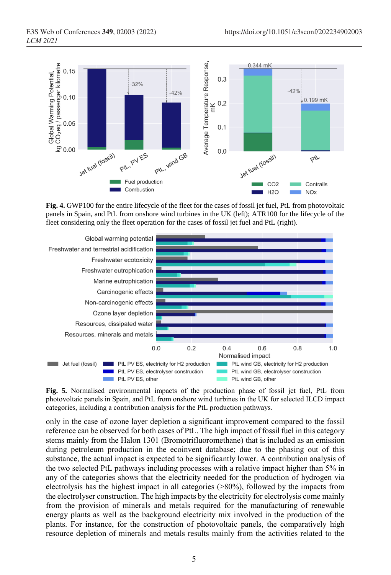

<span id="page-4-0"></span>**Fig. 4.** GWP100 for the entire lifecycle of the fleet for the cases of fossil jet fuel, PtL from photovoltaic panels in Spain, and PtL from onshore wind turbines in the UK (left); ATR100 for the lifecycle of the fleet considering only the fleet operation for the cases of fossil jet fuel and PtL (right).



<span id="page-4-1"></span>**Fig. 5.** Normalised environmental impacts of the production phase of fossil jet fuel, PtL from photovoltaic panels in Spain, and PtL from onshore wind turbines in the UK for selected ILCD impact categories, including a contribution analysis for the PtL production pathways.

only in the case of ozone layer depletion a significant improvement compared to the fossil reference can be observed for both cases of PtL. The high impact of fossil fuel in this category stems mainly from the Halon 1301 (Bromotrifluoromethane) that is included as an emission during petroleum production in the ecoinvent database; due to the phasing out of this substance, the actual impact is expected to be significantly lower. A contribution analysis of the two selected PtL pathways including processes with a relative impact higher than 5% in any of the categories shows that the electricity needed for the production of hydrogen via electrolysis has the highest impact in all categories (>80%), followed by the impacts from the electrolyser construction. The high impacts by the electricity for electrolysis come mainly from the provision of minerals and metals required for the manufacturing of renewable energy plants as well as the background electricity mix involved in the production of the plants. For instance, for the construction of photovoltaic panels, the comparatively high resource depletion of minerals and metals results mainly from the activities related to the